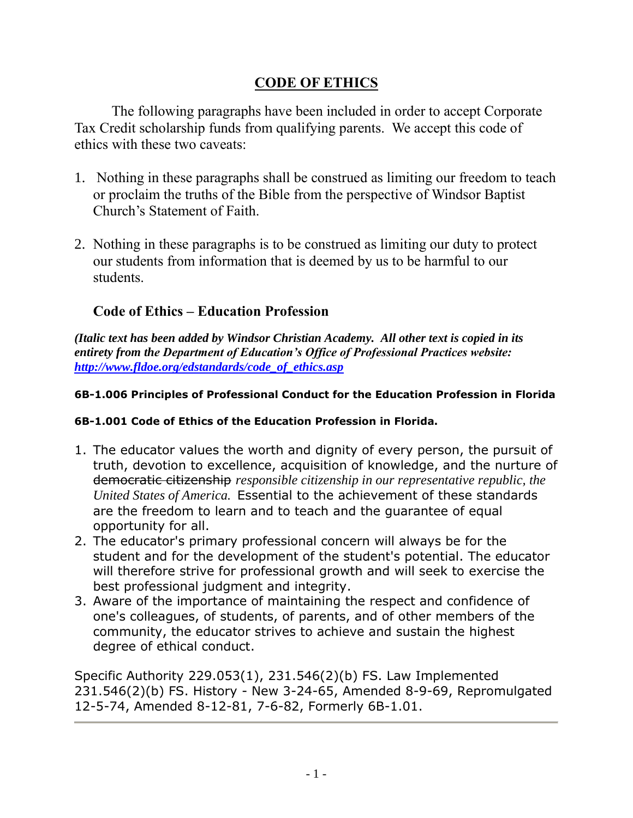## **CODE OF ETHICS**

The following paragraphs have been included in order to accept Corporate Tax Credit scholarship funds from qualifying parents. We accept this code of ethics with these two caveats:

- 1. Nothing in these paragraphs shall be construed as limiting our freedom to teach or proclaim the truths of the Bible from the perspective of Windsor Baptist Church's Statement of Faith.
- 2. Nothing in these paragraphs is to be construed as limiting our duty to protect our students from information that is deemed by us to be harmful to our students.

# **Code of Ethics – Education Profession**

*(Italic text has been added by Windsor Christian Academy. All other text is copied in its entirety from the Department of Education's Office of Professional Practices website: [http://www.fldoe.org/edstandards/code\\_of\\_ethics.asp](http://www.fldoe.org/edstandards/code_of_ethics.asp)*

#### **6B-1.006 Principles of Professional Conduct for the Education Profession in Florida**

#### **6B-1.001 Code of Ethics of the Education Profession in Florida.**

- 1. The educator values the worth and dignity of every person, the pursuit of truth, devotion to excellence, acquisition of knowledge, and the nurture of democratic citizenship *responsible citizenship in our representative republic, the United States of America.* Essential to the achievement of these standards are the freedom to learn and to teach and the guarantee of equal opportunity for all.
- 2. The educator's primary professional concern will always be for the student and for the development of the student's potential. The educator will therefore strive for professional growth and will seek to exercise the best professional judgment and integrity.
- 3. Aware of the importance of maintaining the respect and confidence of one's colleagues, of students, of parents, and of other members of the community, the educator strives to achieve and sustain the highest degree of ethical conduct.

Specific Authority 229.053(1), 231.546(2)(b) FS. Law Implemented 231.546(2)(b) FS. History - New 3-24-65, Amended 8-9-69, Repromulgated 12-5-74, Amended 8-12-81, 7-6-82, Formerly 6B-1.01.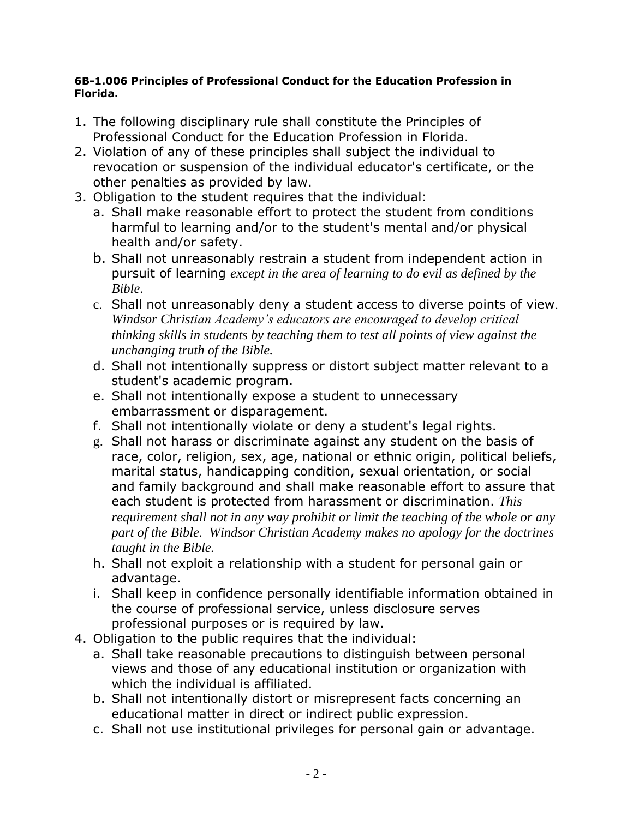#### **6B-1.006 Principles of Professional Conduct for the Education Profession in Florida.**

- 1. The following disciplinary rule shall constitute the Principles of Professional Conduct for the Education Profession in Florida.
- 2. Violation of any of these principles shall subject the individual to revocation or suspension of the individual educator's certificate, or the other penalties as provided by law.
- 3. Obligation to the student requires that the individual:
	- a. Shall make reasonable effort to protect the student from conditions harmful to learning and/or to the student's mental and/or physical health and/or safety.
	- b. Shall not unreasonably restrain a student from independent action in pursuit of learning *except in the area of learning to do evil as defined by the Bible*.
	- c. Shall not unreasonably deny a student access to diverse points of view. *Windsor Christian Academy's educators are encouraged to develop critical thinking skills in students by teaching them to test all points of view against the unchanging truth of the Bible.*
	- d. Shall not intentionally suppress or distort subject matter relevant to a student's academic program.
	- e. Shall not intentionally expose a student to unnecessary embarrassment or disparagement.
	- f. Shall not intentionally violate or deny a student's legal rights.
	- g. Shall not harass or discriminate against any student on the basis of race, color, religion, sex, age, national or ethnic origin, political beliefs, marital status, handicapping condition, sexual orientation, or social and family background and shall make reasonable effort to assure that each student is protected from harassment or discrimination. *This requirement shall not in any way prohibit or limit the teaching of the whole or any part of the Bible. Windsor Christian Academy makes no apology for the doctrines taught in the Bible.*
	- h. Shall not exploit a relationship with a student for personal gain or advantage.
	- i. Shall keep in confidence personally identifiable information obtained in the course of professional service, unless disclosure serves professional purposes or is required by law.
- 4. Obligation to the public requires that the individual:
	- a. Shall take reasonable precautions to distinguish between personal views and those of any educational institution or organization with which the individual is affiliated.
	- b. Shall not intentionally distort or misrepresent facts concerning an educational matter in direct or indirect public expression.
	- c. Shall not use institutional privileges for personal gain or advantage.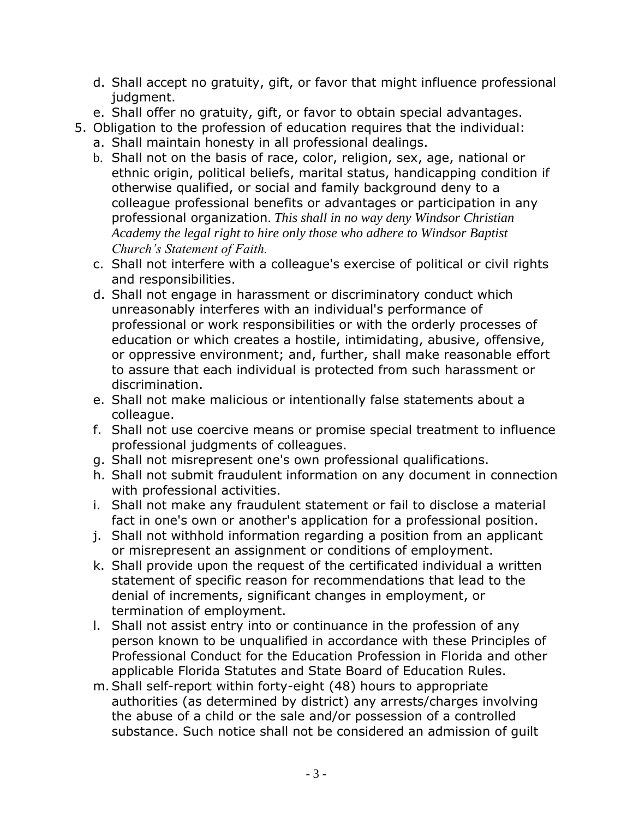- d. Shall accept no gratuity, gift, or favor that might influence professional judgment.
- e. Shall offer no gratuity, gift, or favor to obtain special advantages.
- 5. Obligation to the profession of education requires that the individual:
	- a. Shall maintain honesty in all professional dealings.
	- b. Shall not on the basis of race, color, religion, sex, age, national or ethnic origin, political beliefs, marital status, handicapping condition if otherwise qualified, or social and family background deny to a colleague professional benefits or advantages or participation in any professional organization. *This shall in no way deny Windsor Christian Academy the legal right to hire only those who adhere to Windsor Baptist Church's Statement of Faith.*
	- c. Shall not interfere with a colleague's exercise of political or civil rights and responsibilities.
	- d. Shall not engage in harassment or discriminatory conduct which unreasonably interferes with an individual's performance of professional or work responsibilities or with the orderly processes of education or which creates a hostile, intimidating, abusive, offensive, or oppressive environment; and, further, shall make reasonable effort to assure that each individual is protected from such harassment or discrimination.
	- e. Shall not make malicious or intentionally false statements about a colleague.
	- f. Shall not use coercive means or promise special treatment to influence professional judgments of colleagues.
	- g. Shall not misrepresent one's own professional qualifications.
	- h. Shall not submit fraudulent information on any document in connection with professional activities.
	- i. Shall not make any fraudulent statement or fail to disclose a material fact in one's own or another's application for a professional position.
	- j. Shall not withhold information regarding a position from an applicant or misrepresent an assignment or conditions of employment.
	- k. Shall provide upon the request of the certificated individual a written statement of specific reason for recommendations that lead to the denial of increments, significant changes in employment, or termination of employment.
	- l. Shall not assist entry into or continuance in the profession of any person known to be unqualified in accordance with these Principles of Professional Conduct for the Education Profession in Florida and other applicable Florida Statutes and State Board of Education Rules.
	- m.Shall self-report within forty-eight (48) hours to appropriate authorities (as determined by district) any arrests/charges involving the abuse of a child or the sale and/or possession of a controlled substance. Such notice shall not be considered an admission of guilt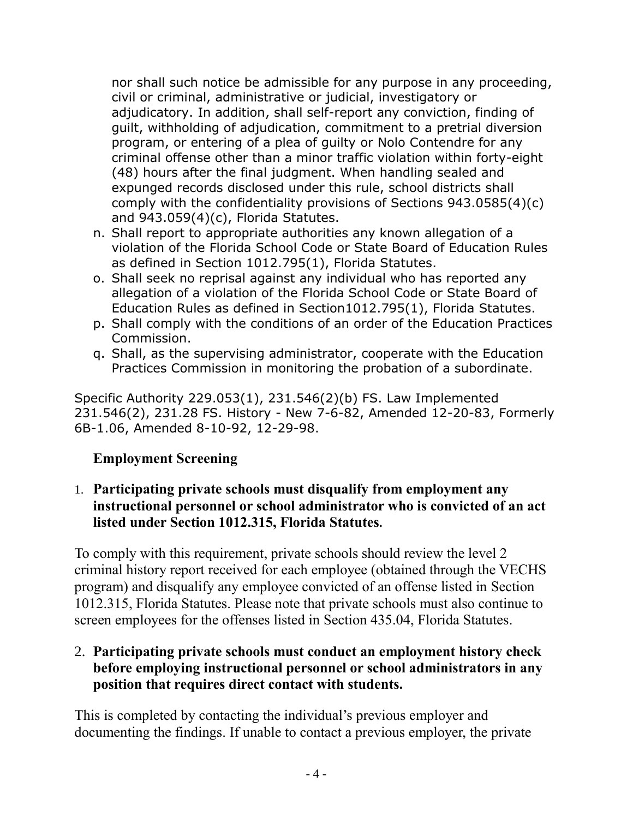nor shall such notice be admissible for any purpose in any proceeding, civil or criminal, administrative or judicial, investigatory or adjudicatory. In addition, shall self-report any conviction, finding of guilt, withholding of adjudication, commitment to a pretrial diversion program, or entering of a plea of guilty or Nolo Contendre for any criminal offense other than a minor traffic violation within forty-eight (48) hours after the final judgment. When handling sealed and expunged records disclosed under this rule, school districts shall comply with the confidentiality provisions of Sections 943.0585(4)(c) and 943.059(4)(c), Florida Statutes.

- n. Shall report to appropriate authorities any known allegation of a violation of the Florida School Code or State Board of Education Rules as defined in Section 1012.795(1), Florida Statutes.
- o. Shall seek no reprisal against any individual who has reported any allegation of a violation of the Florida School Code or State Board of Education Rules as defined in Section1012.795(1), Florida Statutes.
- p. Shall comply with the conditions of an order of the Education Practices Commission.
- q. Shall, as the supervising administrator, cooperate with the Education Practices Commission in monitoring the probation of a subordinate.

Specific Authority 229.053(1), 231.546(2)(b) FS. Law Implemented 231.546(2), 231.28 FS. History - New 7-6-82, Amended 12-20-83, Formerly 6B-1.06, Amended 8-10-92, 12-29-98.

#### **Employment Screening**

1. **Participating private schools must disqualify from employment any instructional personnel or school administrator who is convicted of an act listed under [Section 1012.315, Florida Statutes](http://www.leg.state.fl.us/statutes/index.cfm?mode=View%20Statutes&SubMenu=1&App_mode=Display_Statute&Search_String=1012.315&URL=CH1012/Sec315.HTM).**

To comply with this requirement, private schools should review the level 2 criminal history report received for each employee (obtained through the VECHS program) and disqualify any employee convicted of an offense listed in [Section](http://www.leg.state.fl.us/statutes/index.cfm?mode=View%20Statutes&SubMenu=1&App_mode=Display_Statute&Search_String=1012.315&URL=CH1012/Sec315.HTM)  [1012.315, Florida Statutes.](http://www.leg.state.fl.us/statutes/index.cfm?mode=View%20Statutes&SubMenu=1&App_mode=Display_Statute&Search_String=1012.315&URL=CH1012/Sec315.HTM) Please note that private schools must also continue to screen employees for the offenses listed in [Section 435.04, Florida Statutes.](http://www.leg.state.fl.us/Statutes/index.cfm?App_mode=Display_Statute&Search_String=&URL=Ch0435/SEC04.HTM&Title=-%3e2007-%3eCh0435-%3eSection%2004)

2. **Participating private schools must conduct an employment history check before employing instructional personnel or school administrators in any position that requires direct contact with students.**

This is completed by contacting the individual's previous employer and documenting the findings. If unable to contact a previous employer, the private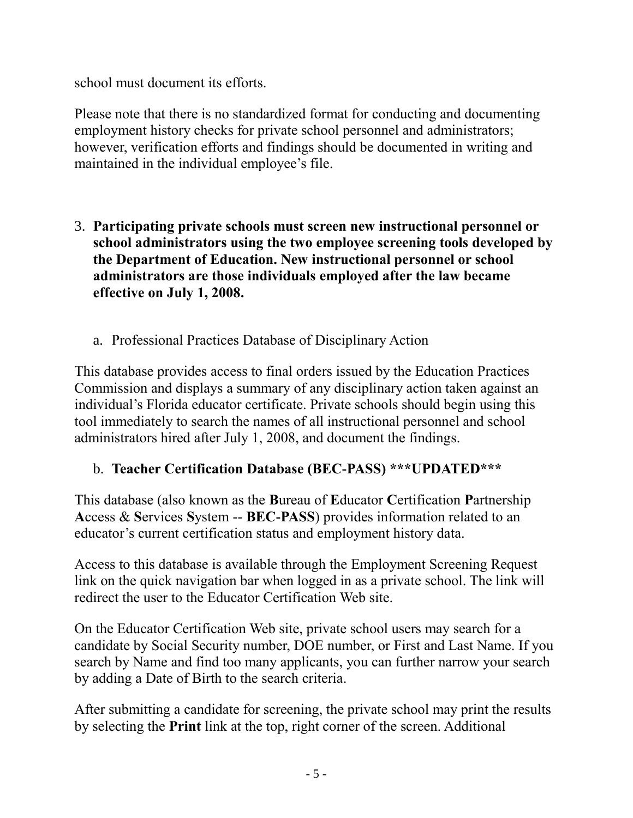school must document its efforts.

Please note that there is no standardized format for conducting and documenting employment history checks for private school personnel and administrators; however, verification efforts and findings should be documented in writing and maintained in the individual employee's file.

- 3. **Participating private schools must screen new instructional personnel or school administrators using the two employee screening tools developed by the Department of Education. New instructional personnel or school administrators are those individuals employed after the law became effective on July 1, 2008.**
	- a. [Professional Practices Database of Disciplinary Action](http://www.myfloridateacher.com/discipline/summary.aspx)

This database provides access to final orders issued by the Education Practices Commission and displays a summary of any disciplinary action taken against an individual's Florida educator certificate. Private schools should begin using this tool immediately to search the names of all instructional personnel and school administrators hired after July 1, 2008, and document the findings.

## b. **Teacher Certification Database (BEC-PASS) \*\*\*UPDATED\*\*\***

This database (also known as the **B**ureau of **E**ducator **C**ertification **P**artnership **A**ccess & **S**ervices **S**ystem -- **BEC-PASS**) provides information related to an educator's current certification status and employment history data.

Access to this database is available through the [Employment Screening Request](https://www.floridaschoolchoice.org/PrivateSchool/Screening_Request_Login.asp) link on the quick navigation bar when logged in as a private school. The link will redirect the user to the Educator Certification Web site.

On the Educator Certification Web site, private school users may search for a candidate by Social Security number, DOE number, or First and Last Name. If you search by Name and find too many applicants, you can further narrow your search by adding a Date of Birth to the search criteria.

After submitting a candidate for screening, the private school may print the results by selecting the **Print** link at the top, right corner of the screen. Additional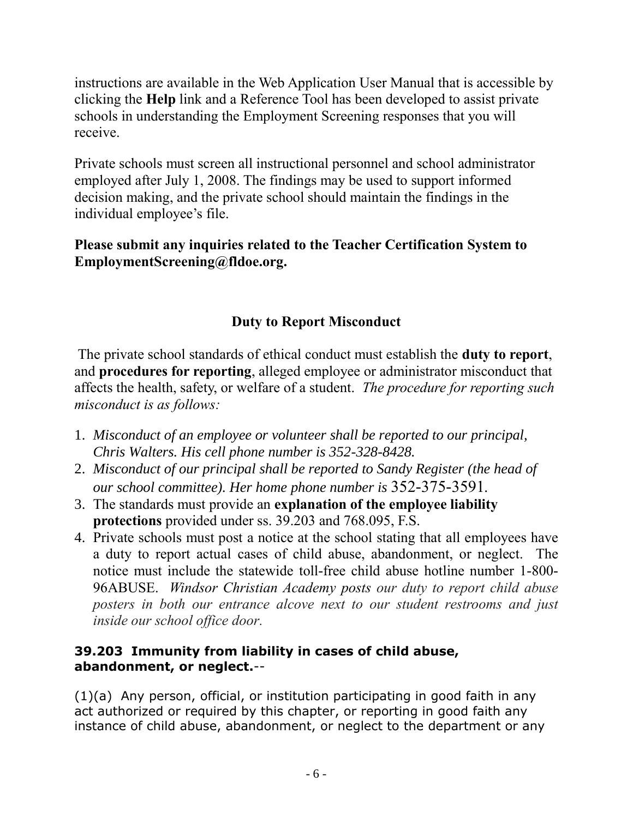instructions are available in the Web Application User Manual that is accessible by clicking the **Help** link and a [Reference Tool](https://www.floridaschoolchoice.org/privateschool/Screening_Request.asp) has been developed to assist private schools in understanding the Employment Screening responses that you will receive.

Private schools must screen all instructional personnel and school administrator employed after July 1, 2008. The findings may be used to support informed decision making, and the private school should maintain the findings in the individual employee's file.

## **Please submit any inquiries related to the Teacher Certification System to [EmploymentScreening@fldoe.org.](mailto:EmploymentScreening@fldoe.org)**

# **Duty to Report Misconduct**

The private school standards of ethical conduct must establish the **duty to report**, and **procedures for reporting**, alleged employee or administrator misconduct that affects the health, safety, or welfare of a student. *The procedure for reporting such misconduct is as follows:* 

- 1. *Misconduct of an employee or volunteer shall be reported to our principal, Chris Walters. His cell phone number is 352-328-8428.*
- 2. *Misconduct of our principal shall be reported to Sandy Register (the head of our school committee). Her home phone number is* 352-375-3591*.*
- 3. The standards must provide an **explanation of the employee liability protections** provided under ss. [39.203](http://www.leg.state.fl.us/statutes/index.cfm?mode=View%20Statutes&SubMenu=1&App_mode=Display_Statute&Search_String=39.203&URL=CH0039/Sec203.HTM) and [768.095,](http://www.leg.state.fl.us/statutes/index.cfm?mode=View%20Statutes&SubMenu=1&App_mode=Display_Statute&Search_String=768.095&URL=CH0768/Sec095.HTM) F.S.
- 4. Private schools must post a notice at the school stating that all employees have a duty to report actual cases of child abuse, abandonment, or neglect. The notice must include the statewide toll-free child abuse hotline number 1-800- 96ABUSE. *Windsor Christian Academy posts our duty to report child abuse posters in both our entrance alcove next to our student restrooms and just inside our school office door.*

#### **39.203 Immunity from liability in cases of child abuse, abandonment, or neglect.**--

(1)(a) Any person, official, or institution participating in good faith in any act authorized or required by this chapter, or reporting in good faith any instance of child abuse, abandonment, or neglect to the department or any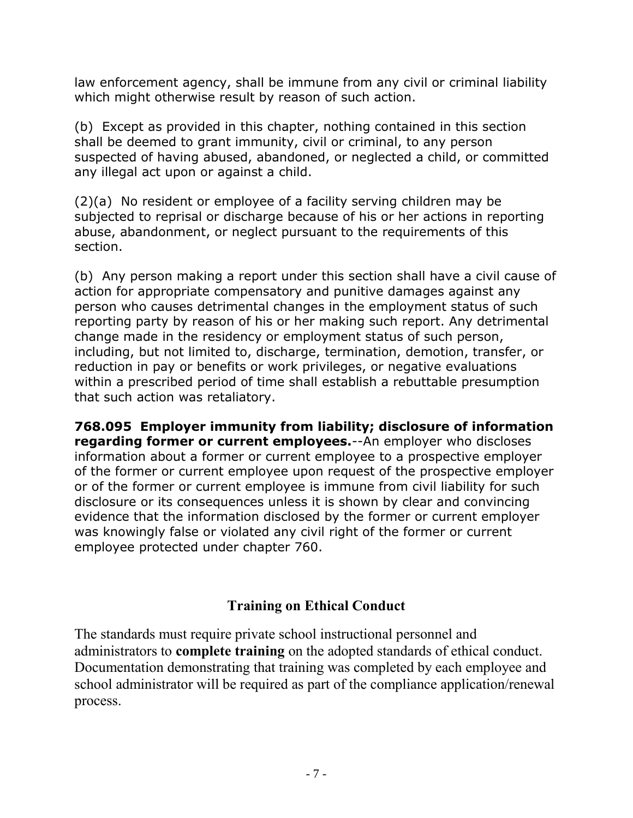law enforcement agency, shall be immune from any civil or criminal liability which might otherwise result by reason of such action.

(b) Except as provided in this chapter, nothing contained in this section shall be deemed to grant immunity, civil or criminal, to any person suspected of having abused, abandoned, or neglected a child, or committed any illegal act upon or against a child.

(2)(a) No resident or employee of a facility serving children may be subjected to reprisal or discharge because of his or her actions in reporting abuse, abandonment, or neglect pursuant to the requirements of this section.

(b) Any person making a report under this section shall have a civil cause of action for appropriate compensatory and punitive damages against any person who causes detrimental changes in the employment status of such reporting party by reason of his or her making such report. Any detrimental change made in the residency or employment status of such person, including, but not limited to, discharge, termination, demotion, transfer, or reduction in pay or benefits or work privileges, or negative evaluations within a prescribed period of time shall establish a rebuttable presumption that such action was retaliatory.

**768.095 Employer immunity from liability; disclosure of information regarding former or current employees.**--An employer who discloses information about a former or current employee to a prospective employer of the former or current employee upon request of the prospective employer or of the former or current employee is immune from civil liability for such disclosure or its consequences unless it is shown by clear and convincing evidence that the information disclosed by the former or current employer was knowingly false or violated any civil right of the former or current employee protected under chapter 760.

## **Training on Ethical Conduct**

The standards must require private school instructional personnel and administrators to **complete training** on the adopted standards of ethical conduct. Documentation demonstrating that training was completed by each employee and school administrator will be required as part of the compliance application/renewal process.